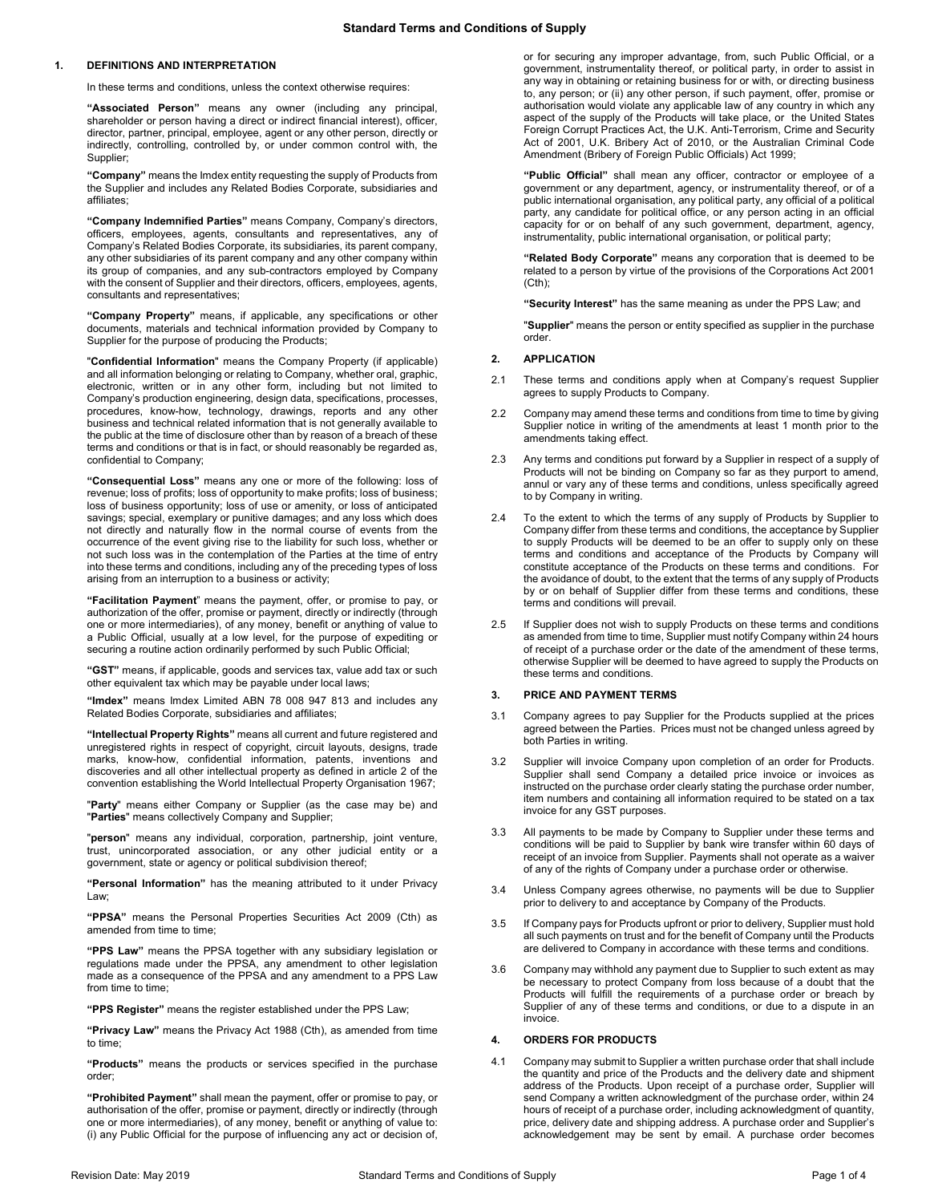# **1. DEFINITIONS AND INTERPRETATION**

In these terms and conditions, unless the context otherwise requires:

**"Associated Person"** means any owner (including any principal, shareholder or person having a direct or indirect financial interest), officer, director, partner, principal, employee, agent or any other person, directly or indirectly, controlling, controlled by, or under common control with, the Supplier;

**"Company"** means the Imdex entity requesting the supply of Products from the Supplier and includes any Related Bodies Corporate, subsidiaries and affiliates;

**"Company Indemnified Parties"** means Company, Company's directors, officers, employees, agents, consultants and representatives, any of Company's Related Bodies Corporate, its subsidiaries, its parent company, any other subsidiaries of its parent company and any other company within its group of companies, and any sub-contractors employed by Company with the consent of Supplier and their directors, officers, employees, agents, consultants and representatives;

**"Company Property"** means, if applicable, any specifications or other documents, materials and technical information provided by Company to Supplier for the purpose of producing the Products;

"**Confidential Information**" means the Company Property (if applicable) and all information belonging or relating to Company, whether oral, graphic, electronic, written or in any other form, including but not limited to Company's production engineering, design data, specifications, processes, procedures, know-how, technology, drawings, reports and any other business and technical related information that is not generally available to the public at the time of disclosure other than by reason of a breach of these terms and conditions or that is in fact, or should reasonably be regarded as, confidential to Company;

**"Consequential Loss"** means any one or more of the following: loss of revenue; loss of profits; loss of opportunity to make profits; loss of business; loss of business opportunity; loss of use or amenity, or loss of anticipated savings; special, exemplary or punitive damages; and any loss which does not directly and naturally flow in the normal course of events from the occurrence of the event giving rise to the liability for such loss, whether or not such loss was in the contemplation of the Parties at the time of entry into these terms and conditions, including any of the preceding types of loss arising from an interruption to a business or activity;

**"Facilitation Payment**" means the payment, offer, or promise to pay, or authorization of the offer, promise or payment, directly or indirectly (through one or more intermediaries), of any money, benefit or anything of value to a Public Official, usually at a low level, for the purpose of expediting or securing a routine action ordinarily performed by such Public Official;

**"GST"** means, if applicable, goods and services tax, value add tax or such other equivalent tax which may be payable under local laws;

**"Imdex"** means Imdex Limited ABN 78 008 947 813 and includes any Related Bodies Corporate, subsidiaries and affiliates;

**"Intellectual Property Rights"** means all current and future registered and unregistered rights in respect of copyright, circuit layouts, designs, trade marks, know-how, confidential information, patents, inventions and discoveries and all other intellectual property as defined in article 2 of the convention establishing the World Intellectual Property Organisation 1967;

"**Party**" means either Company or Supplier (as the case may be) and "**Parties**" means collectively Company and Supplier;

"**person**" means any individual, corporation, partnership, joint venture, trust, unincorporated association, or any other judicial entity or a government, state or agency or political subdivision thereof;

**"Personal Information"** has the meaning attributed to it under Privacy Law;

**"PPSA"** means the Personal Properties Securities Act 2009 (Cth) as amended from time to time:

**"PPS Law"** means the PPSA together with any subsidiary legislation or regulations made under the PPSA, any amendment to other legislation made as a consequence of the PPSA and any amendment to a PPS Law from time to time;

**"PPS Register"** means the register established under the PPS Law;

**"Privacy Law"** means the Privacy Act 1988 (Cth), as amended from time to time;

**"Products"** means the products or services specified in the purchase order;

**"Prohibited Payment"** shall mean the payment, offer or promise to pay, or authorisation of the offer, promise or payment, directly or indirectly (through one or more intermediaries), of any money, benefit or anything of value to: (i) any Public Official for the purpose of influencing any act or decision of, or for securing any improper advantage, from, such Public Official, or a government, instrumentality thereof, or political party, in order to assist in any way in obtaining or retaining business for or with, or directing business to, any person; or (ii) any other person, if such payment, offer, promise or authorisation would violate any applicable law of any country in which any aspect of the supply of the Products will take place, or the United States Foreign Corrupt Practices Act, the U.K. Anti-Terrorism, Crime and Security Act of 2001, U.K. Bribery Act of 2010, or the Australian Criminal Code Amendment (Bribery of Foreign Public Officials) Act 1999;

**"Public Official"** shall mean any officer, contractor or employee of a government or any department, agency, or instrumentality thereof, or of a public international organisation, any political party, any official of a political party, any candidate for political office, or any person acting in an official capacity for or on behalf of any such government, department, agency, instrumentality, public international organisation, or political party;

**"Related Body Corporate"** means any corporation that is deemed to be related to a person by virtue of the provisions of the Corporations Act 2001 (Cth);

**"Security Interest"** has the same meaning as under the PPS Law; and

"**Supplier**" means the person or entity specified as supplier in the purchase order.

#### **2. APPLICATION**

- 2.1 These terms and conditions apply when at Company's request Supplier agrees to supply Products to Company.
- 2.2 Company may amend these terms and conditions from time to time by giving Supplier notice in writing of the amendments at least 1 month prior to the amendments taking effect.
- 2.3 Any terms and conditions put forward by a Supplier in respect of a supply of Products will not be binding on Company so far as they purport to amend, annul or vary any of these terms and conditions, unless specifically agreed to by Company in writing.
- 2.4 To the extent to which the terms of any supply of Products by Supplier to Company differ from these terms and conditions, the acceptance by Supplier to supply Products will be deemed to be an offer to supply only on these terms and conditions and acceptance of the Products by Company will constitute acceptance of the Products on these terms and conditions. For the avoidance of doubt, to the extent that the terms of any supply of Products by or on behalf of Supplier differ from these terms and conditions, these terms and conditions will prevail.
- 2.5 If Supplier does not wish to supply Products on these terms and conditions as amended from time to time, Supplier must notify Company within 24 hours of receipt of a purchase order or the date of the amendment of these terms, otherwise Supplier will be deemed to have agreed to supply the Products on these terms and conditions.

### **3. PRICE AND PAYMENT TERMS**

- 3.1 Company agrees to pay Supplier for the Products supplied at the prices agreed between the Parties. Prices must not be changed unless agreed by both Parties in writing.
- 3.2 Supplier will invoice Company upon completion of an order for Products. Supplier shall send Company a detailed price invoice or invoices as instructed on the purchase order clearly stating the purchase order number, item numbers and containing all information required to be stated on a tax invoice for any GST purposes.
- 3.3 All payments to be made by Company to Supplier under these terms and conditions will be paid to Supplier by bank wire transfer within 60 days of receipt of an invoice from Supplier. Payments shall not operate as a waiver of any of the rights of Company under a purchase order or otherwise.
- 3.4 Unless Company agrees otherwise, no payments will be due to Supplier prior to delivery to and acceptance by Company of the Products.
- 3.5 If Company pays for Products upfront or prior to delivery, Supplier must hold all such payments on trust and for the benefit of Company until the Products are delivered to Company in accordance with these terms and conditions.
- 3.6 Company may withhold any payment due to Supplier to such extent as may be necessary to protect Company from loss because of a doubt that the Products will fulfill the requirements of a purchase order or breach by Supplier of any of these terms and conditions, or due to a dispute in an invoice.

## **4. ORDERS FOR PRODUCTS**

<span id="page-0-0"></span>4.1 Company may submit to Supplier a written purchase order that shall include the quantity and price of the Products and the delivery date and shipment address of the Products. Upon receipt of a purchase order, Supplier will send Company a written acknowledgment of the purchase order, within 24 hours of receipt of a purchase order, including acknowledgment of quantity, price, delivery date and shipping address. A purchase order and Supplier's acknowledgement may be sent by email. A purchase order becomes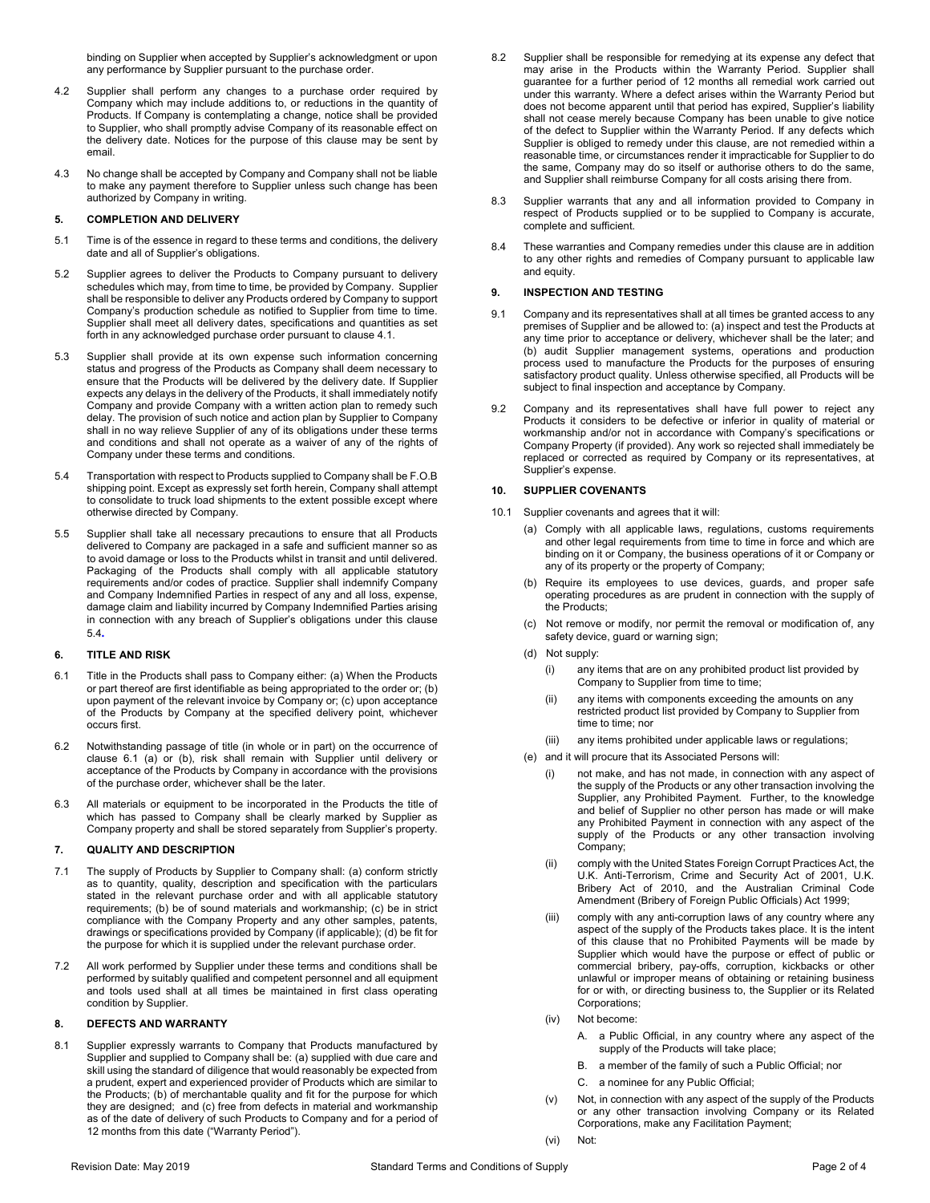binding on Supplier when accepted by Supplier's acknowledgment or upon any performance by Supplier pursuant to the purchase order.

- 4.2 Supplier shall perform any changes to a purchase order required by Company which may include additions to, or reductions in the quantity of Products. If Company is contemplating a change, notice shall be provided to Supplier, who shall promptly advise Company of its reasonable effect on the delivery date. Notices for the purpose of this clause may be sent by email.
- 4.3 No change shall be accepted by Company and Company shall not be liable to make any payment therefore to Supplier unless such change has been authorized by Company in writing.

### **5. COMPLETION AND DELIVERY**

- 5.1 Time is of the essence in regard to these terms and conditions, the delivery date and all of Supplier's obligations.
- 5.2 Supplier agrees to deliver the Products to Company pursuant to delivery schedules which may, from time to time, be provided by Company. Supplier shall be responsible to deliver any Products ordered by Company to support Company's production schedule as notified to Supplier from time to time. Supplier shall meet all delivery dates, specifications and quantities as set forth in any acknowledged purchase order pursuant to claus[e 4.1.](#page-0-0)
- 5.3 Supplier shall provide at its own expense such information concerning status and progress of the Products as Company shall deem necessary to ensure that the Products will be delivered by the delivery date. If Supplier expects any delays in the delivery of the Products, it shall immediately notify Company and provide Company with a written action plan to remedy such delay. The provision of such notice and action plan by Supplier to Company shall in no way relieve Supplier of any of its obligations under these terms and conditions and shall not operate as a waiver of any of the rights of Company under these terms and conditions.
- <span id="page-1-0"></span>5.4 Transportation with respect to Products supplied to Company shall be F.O.B shipping point. Except as expressly set forth herein, Company shall attempt to consolidate to truck load shipments to the extent possible except where otherwise directed by Company.
- 5.5 Supplier shall take all necessary precautions to ensure that all Products delivered to Company are packaged in a safe and sufficient manner so as to avoid damage or loss to the Products whilst in transit and until delivered. Packaging of the Products shall comply with all applicable statutory requirements and/or codes of practice. Supplier shall indemnify Company and Company Indemnified Parties in respect of any and all loss, expense, damage claim and liability incurred by Company Indemnified Parties arising in connection with any breach of Supplier's obligations under this clause [5.4](#page-1-0)**.**

## **6. TITLE AND RISK**

- <span id="page-1-1"></span>6.1 Title in the Products shall pass to Company either: (a) When the Products or part thereof are first identifiable as being appropriated to the order or; (b) upon payment of the relevant invoice by Company or; (c) upon acceptance of the Products by Company at the specified delivery point, whichever occurs first.
- 6.2 Notwithstanding passage of title (in whole or in part) on the occurrence of clause [6.1](#page-1-1) (a) or (b), risk shall remain with Supplier until delivery or acceptance of the Products by Company in accordance with the provisions of the purchase order, whichever shall be the later.
- 6.3 All materials or equipment to be incorporated in the Products the title of which has passed to Company shall be clearly marked by Supplier as Company property and shall be stored separately from Supplier's property.

### **7. QUALITY AND DESCRIPTION**

- 7.1 The supply of Products by Supplier to Company shall: (a) conform strictly as to quantity, quality, description and specification with the particulars stated in the relevant purchase order and with all applicable statutory requirements; (b) be of sound materials and workmanship; (c) be in strict compliance with the Company Property and any other samples, patents, drawings or specifications provided by Company (if applicable); (d) be fit for the purpose for which it is supplied under the relevant purchase order.
- 7.2 All work performed by Supplier under these terms and conditions shall be performed by suitably qualified and competent personnel and all equipment and tools used shall at all times be maintained in first class operating condition by Supplier.

### **8. DEFECTS AND WARRANTY**

8.1 Supplier expressly warrants to Company that Products manufactured by Supplier and supplied to Company shall be: (a) supplied with due care and skill using the standard of diligence that would reasonably be expected from a prudent, expert and experienced provider of Products which are similar to the Products; (b) of merchantable quality and fit for the purpose for which they are designed; and (c) free from defects in material and workmanship as of the date of delivery of such Products to Company and for a period of 12 months from this date ("Warranty Period").

- 8.2 Supplier shall be responsible for remedying at its expense any defect that may arise in the Products within the Warranty Period. Supplier shall guarantee for a further period of 12 months all remedial work carried out under this warranty. Where a defect arises within the Warranty Period but does not become apparent until that period has expired, Supplier's liability shall not cease merely because Company has been unable to give notice of the defect to Supplier within the Warranty Period. If any defects which Supplier is obliged to remedy under this clause, are not remedied within a reasonable time, or circumstances render it impracticable for Supplier to do the same, Company may do so itself or authorise others to do the same, and Supplier shall reimburse Company for all costs arising there from.
- 8.3 Supplier warrants that any and all information provided to Company in respect of Products supplied or to be supplied to Company is accurate, complete and sufficient.
- 8.4 These warranties and Company remedies under this clause are in addition to any other rights and remedies of Company pursuant to applicable law and equity.

#### **9. INSPECTION AND TESTING**

- 9.1 Company and its representatives shall at all times be granted access to any premises of Supplier and be allowed to: (a) inspect and test the Products at any time prior to acceptance or delivery, whichever shall be the later; and (b) audit Supplier management systems, operations and production process used to manufacture the Products for the purposes of ensuring satisfactory product quality. Unless otherwise specified, all Products will be subject to final inspection and acceptance by Company.
- 9.2 Company and its representatives shall have full power to reject any Products it considers to be defective or inferior in quality of material or workmanship and/or not in accordance with Company's specifications or Company Property (if provided). Any work so rejected shall immediately be replaced or corrected as required by Company or its representatives, at Supplier's expense.

#### **10. SUPPLIER COVENANTS**

- 10.1 Supplier covenants and agrees that it will:
	- (a) Comply with all applicable laws, regulations, customs requirements and other legal requirements from time to time in force and which are binding on it or Company, the business operations of it or Company or any of its property or the property of Company;
	- (b) Require its employees to use devices, guards, and proper safe operating procedures as are prudent in connection with the supply of the Products;
	- (c) Not remove or modify, nor permit the removal or modification of, any safety device, guard or warning sign;
	- (d) Not supply:
		- (i) any items that are on any prohibited product list provided by Company to Supplier from time to time;
		- (ii) any items with components exceeding the amounts on any restricted product list provided by Company to Supplier from time to time; nor
		- (iii) any items prohibited under applicable laws or regulations;
	- (e) and it will procure that its Associated Persons will:
		- (i) not make, and has not made, in connection with any aspect of the supply of the Products or any other transaction involving the Supplier, any Prohibited Payment. Further, to the knowledge and belief of Supplier no other person has made or will make any Prohibited Payment in connection with any aspect of the supply of the Products or any other transaction involving Company;
		- (ii) comply with the United States Foreign Corrupt Practices Act, the U.K. Anti-Terrorism, Crime and Security Act of 2001, U.K. Bribery Act of 2010, and the Australian Criminal Code Amendment (Bribery of Foreign Public Officials) Act 1999;
		- (iii) comply with any anti-corruption laws of any country where any aspect of the supply of the Products takes place. It is the intent of this clause that no Prohibited Payments will be made by Supplier which would have the purpose or effect of public or commercial bribery, pay-offs, corruption, kickbacks or other unlawful or improper means of obtaining or retaining business for or with, or directing business to, the Supplier or its Related Corporations;
		- (iv) Not become:
			- A. a Public Official, in any country where any aspect of the supply of the Products will take place;
			- B. a member of the family of such a Public Official; nor
			- C. a nominee for any Public Official;
		- (v) Not, in connection with any aspect of the supply of the Products or any other transaction involving Company or its Related Corporations, make any Facilitation Payment;
		- (vi) Not: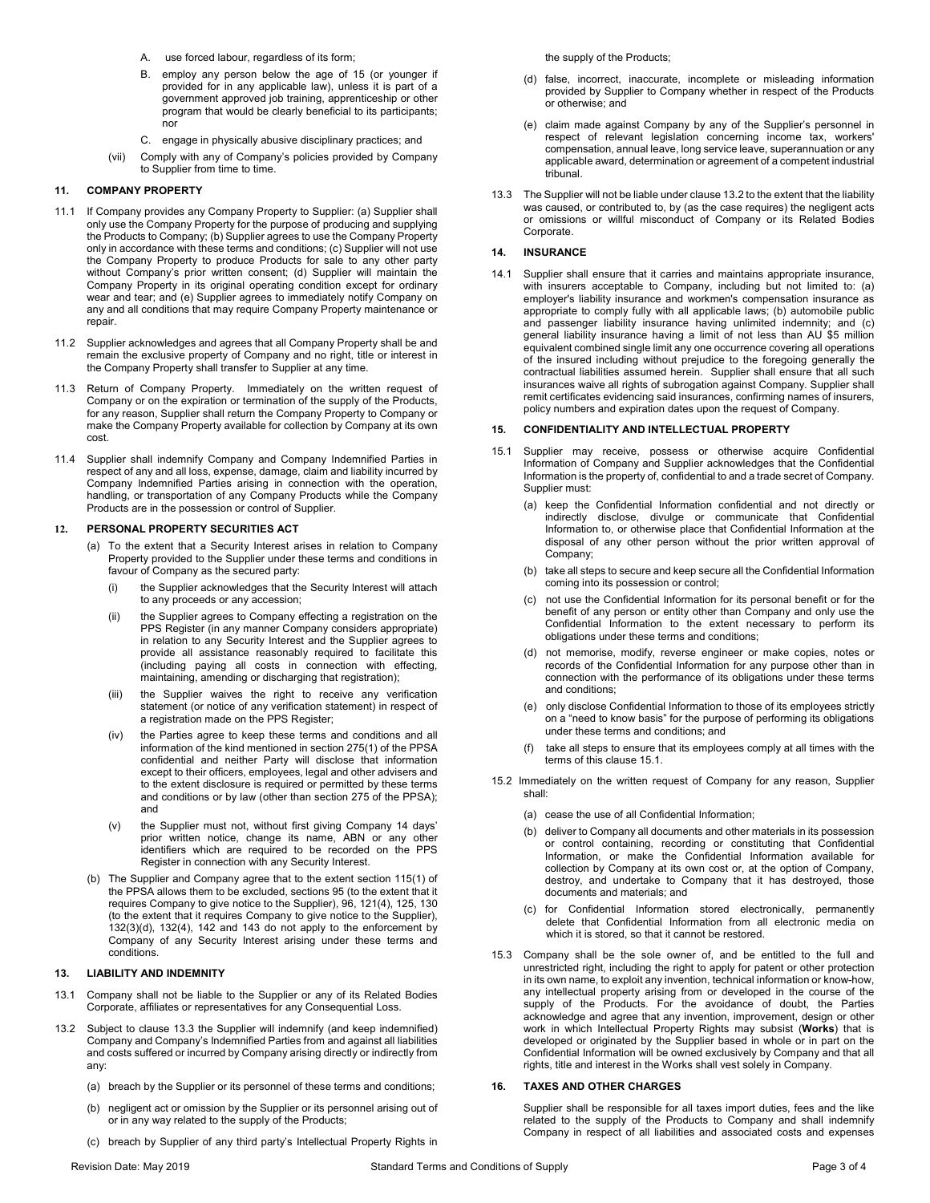- A. use forced labour, regardless of its form;
- B. employ any person below the age of 15 (or younger if provided for in any applicable law), unless it is part of a government approved job training, apprenticeship or other program that would be clearly beneficial to its participants; nor
- C. engage in physically abusive disciplinary practices; and
- (vii) Comply with any of Company's policies provided by Company to Supplier from time to time.

# **11. COMPANY PROPERTY**

- 11.1 If Company provides any Company Property to Supplier: (a) Supplier shall only use the Company Property for the purpose of producing and supplying the Products to Company; (b) Supplier agrees to use the Company Property only in accordance with these terms and conditions; (c) Supplier will not use the Company Property to produce Products for sale to any other party without Company's prior written consent; (d) Supplier will maintain the Company Property in its original operating condition except for ordinary wear and tear; and (e) Supplier agrees to immediately notify Company on any and all conditions that may require Company Property maintenance or repair.
- 11.2 Supplier acknowledges and agrees that all Company Property shall be and remain the exclusive property of Company and no right, title or interest in the Company Property shall transfer to Supplier at any time.
- 11.3 Return of Company Property. Immediately on the written request of Company or on the expiration or termination of the supply of the Products, for any reason, Supplier shall return the Company Property to Company or make the Company Property available for collection by Company at its own cost.
- 11.4 Supplier shall indemnify Company and Company Indemnified Parties in respect of any and all loss, expense, damage, claim and liability incurred by Company Indemnified Parties arising in connection with the operation, handling, or transportation of any Company Products while the Company Products are in the possession or control of Supplier.

### **12. PERSONAL PROPERTY SECURITIES ACT**

- (a) To the extent that a Security Interest arises in relation to Company Property provided to the Supplier under these terms and conditions in favour of Company as the secured party:
	- (i) the Supplier acknowledges that the Security Interest will attach to any proceeds or any accession;
	- (ii) the Supplier agrees to Company effecting a registration on the PPS Register (in any manner Company considers appropriate) in relation to any Security Interest and the Supplier agrees to provide all assistance reasonably required to facilitate this (including paying all costs in connection with effecting, maintaining, amending or discharging that registration);
	- (iii) the Supplier waives the right to receive any verification statement (or notice of any verification statement) in respect of a registration made on the PPS Register;
	- (iv) the Parties agree to keep these terms and conditions and all information of the kind mentioned in section 275(1) of the PPSA confidential and neither Party will disclose that information except to their officers, employees, legal and other advisers and to the extent disclosure is required or permitted by these terms and conditions or by law (other than section 275 of the PPSA); and
	- (v) the Supplier must not, without first giving Company 14 days' prior written notice, change its name, ABN or any other identifiers which are required to be recorded on the PPS Register in connection with any Security Interest.
- (b) The Supplier and Company agree that to the extent section 115(1) of the PPSA allows them to be excluded, sections 95 (to the extent that it requires Company to give notice to the Supplier), 96, 121(4), 125, 130 (to the extent that it requires Company to give notice to the Supplier), 132(3)(d), 132(4), 142 and 143 do not apply to the enforcement by Company of any Security Interest arising under these terms and conditions.

### **13. LIABILITY AND INDEMNITY**

- 13.1 Company shall not be liable to the Supplier or any of its Related Bodies Corporate, affiliates or representatives for any Consequential Loss.
- <span id="page-2-1"></span>13.2 Subject to clause [13.3](#page-2-0) the Supplier will indemnify (and keep indemnified) Company and Company's Indemnified Parties from and against all liabilities and costs suffered or incurred by Company arising directly or indirectly from any:
	- (a) breach by the Supplier or its personnel of these terms and conditions;
	- (b) negligent act or omission by the Supplier or its personnel arising out of or in any way related to the supply of the Products;
	- (c) breach by Supplier of any third party's Intellectual Property Rights in

the supply of the Products;

- (d) false, incorrect, inaccurate, incomplete or misleading information provided by Supplier to Company whether in respect of the Products or otherwise; and
- (e) claim made against Company by any of the Supplier's personnel in respect of relevant legislation concerning income tax, workers' compensation, annual leave, long service leave, superannuation or any applicable award, determination or agreement of a competent industrial tribunal.
- <span id="page-2-0"></span>13.3 The Supplier will not be liable under claus[e 13.2](#page-2-1) to the extent that the liability was caused, or contributed to, by (as the case requires) the negligent acts or omissions or willful misconduct of Company or its Related Bodies Corporate.

### **14. INSURANCE**

14.1 Supplier shall ensure that it carries and maintains appropriate insurance, with insurers acceptable to Company, including but not limited to: (a) employer's liability insurance and workmen's compensation insurance as appropriate to comply fully with all applicable laws; (b) automobile public and passenger liability insurance having unlimited indemnity; and (c) general liability insurance having a limit of not less than AU \$5 million equivalent combined single limit any one occurrence covering all operations of the insured including without prejudice to the foregoing generally the contractual liabilities assumed herein. Supplier shall ensure that all such insurances waive all rights of subrogation against Company. Supplier shall remit certificates evidencing said insurances, confirming names of insurers, policy numbers and expiration dates upon the request of Company.

#### **15. CONFIDENTIALITY AND INTELLECTUAL PROPERTY**

- <span id="page-2-2"></span>15.1 Supplier may receive, possess or otherwise acquire Confidential Information of Company and Supplier acknowledges that the Confidential Information is the property of, confidential to and a trade secret of Company. Supplier must:
	- (a) keep the Confidential Information confidential and not directly or indirectly disclose, divulge or communicate that Confidential Information to, or otherwise place that Confidential Information at the disposal of any other person without the prior written approval of Company;
	- (b) take all steps to secure and keep secure all the Confidential Information coming into its possession or control;
	- (c) not use the Confidential Information for its personal benefit or for the benefit of any person or entity other than Company and only use the Confidential Information to the extent necessary to perform its obligations under these terms and conditions;
	- (d) not memorise, modify, reverse engineer or make copies, notes or records of the Confidential Information for any purpose other than in connection with the performance of its obligations under these terms and conditions;
	- (e) only disclose Confidential Information to those of its employees strictly on a "need to know basis" for the purpose of performing its obligations under these terms and conditions; and
	- take all steps to ensure that its employees comply at all times with the terms of this claus[e 15.1.](#page-2-2)
- 15.2 Immediately on the written request of Company for any reason, Supplier shall:
	- (a) cease the use of all Confidential Information;
	- (b) deliver to Company all documents and other materials in its possession or control containing, recording or constituting that Confidential Information, or make the Confidential Information available for collection by Company at its own cost or, at the option of Company, destroy, and undertake to Company that it has destroyed, those documents and materials; and
	- (c) for Confidential Information stored electronically, permanently delete that Confidential Information from all electronic media on which it is stored, so that it cannot be restored.
- 15.3 Company shall be the sole owner of, and be entitled to the full and unrestricted right, including the right to apply for patent or other protection in its own name, to exploit any invention, technical information or know-how, any intellectual property arising from or developed in the course of the supply of the Products. For the avoidance of doubt, the Parties acknowledge and agree that any invention, improvement, design or other work in which Intellectual Property Rights may subsist (**Works**) that is developed or originated by the Supplier based in whole or in part on the Confidential Information will be owned exclusively by Company and that all rights, title and interest in the Works shall vest solely in Company.

## **16. TAXES AND OTHER CHARGES**

Supplier shall be responsible for all taxes import duties, fees and the like related to the supply of the Products to Company and shall indemnify Company in respect of all liabilities and associated costs and expenses